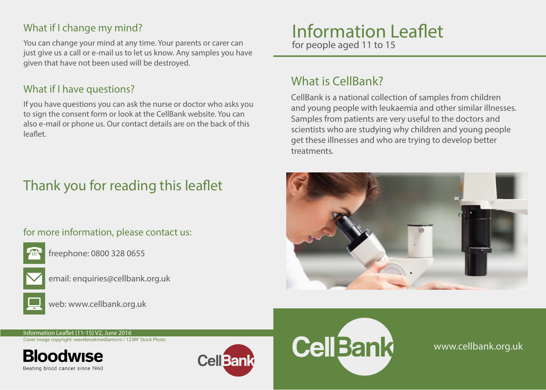### What if I change my mind?

You can change your mind at any time. Your parents or carer can just give us a call or e-mail us to let us know. Any samples you have given that have not been used will be destroyed.

#### What if I have questions?

If you have questions you can ask the nurse or doctor who asks you to sign the consent form or look at the CellBank website. You can also e-mail or phone us. Our contact details are on the back of this leaflet.

# Thank you for reading this leaflet

#### for more information, please contact us:



freephone: 0800 328 0655



email: enquiries@cellbank.org.uk



web: www.cellbank.org.uk

## Information Leaflet for people aged 11 to 15

What is CellBank?

CellBank is a national collection of samples from children and young people with leukaemia and other similar illnesses. Samples from patients are very useful to the doctors and scientists who are studying why children and young people get these illnesses and who are trying to develop better treatments.



Information Leaflet (11-15) V2, June 2016 Cover image copyright: wavebreakmediamicro / 123RF Stock Photo

Beating blood cancer since 1960





www.cellbank.org.uk